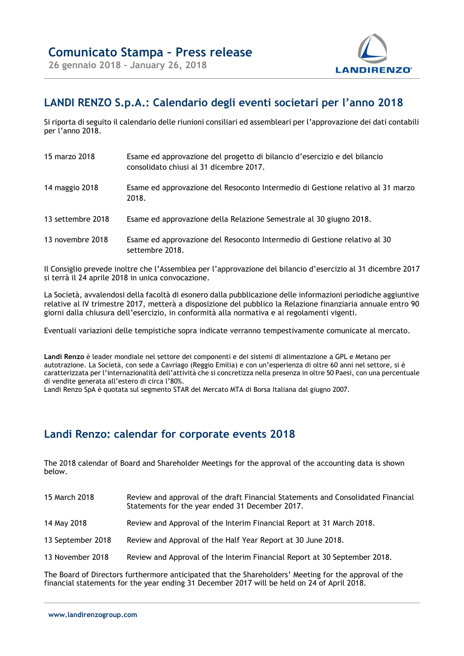

## **LANDI RENZO S.p.A.: Calendario degli eventi societari per l'anno 2018**

Si riporta di seguito il calendario delle riunioni consiliari ed assembleari per l'approvazione dei dati contabili per l'anno 2018.

| 15 marzo 2018     | Esame ed approvazione del progetto di bilancio d'esercizio e del bilancio<br>consolidato chiusi al 31 dicembre 2017. |
|-------------------|----------------------------------------------------------------------------------------------------------------------|
| 14 maggio 2018    | Esame ed approvazione del Resoconto Intermedio di Gestione relativo al 31 marzo<br>2018.                             |
| 13 settembre 2018 | Esame ed approvazione della Relazione Semestrale al 30 giugno 2018.                                                  |
| 13 novembre 2018  | Esame ed approvazione del Resoconto Intermedio di Gestione relativo al 30<br>settembre 2018.                         |

Il Consiglio prevede inoltre che l'Assemblea per l'approvazione del bilancio d'esercizio al 31 dicembre 2017 si terrà il 24 aprile 2018 in unica convocazione.

La Società, avvalendosi della facoltà di esonero dalla pubblicazione delle informazioni periodiche aggiuntive relative al IV trimestre 2017, metterà a disposizione del pubblico la Relazione finanziaria annuale entro 90 giorni dalla chiusura dell'esercizio, in conformità alla normativa e ai regolamenti vigenti.

Eventuali variazioni delle tempistiche sopra indicate verranno tempestivamente comunicate al mercato.

**Landi Renzo** è leader mondiale nel settore dei componenti e dei sistemi di alimentazione a GPL e Metano per autotrazione. La Società, con sede a Cavriago (Reggio Emilia) e con un'esperienza di oltre 60 anni nel settore, si è caratterizzata per l'internazionalità dell'attività che si concretizza nella presenza in oltre 50 Paesi, con una percentuale di vendite generata all'estero di circa l'80%.

Landi Renzo SpA è quotata sul segmento STAR del Mercato MTA di Borsa Italiana dal giugno 2007.

## **Landi Renzo: calendar for corporate events 2018**

The 2018 calendar of Board and Shareholder Meetings for the approval of the accounting data is shown below.

| 15 March 2018     | Review and approval of the draft Financial Statements and Consolidated Financial<br>Statements for the year ended 31 December 2017. |
|-------------------|-------------------------------------------------------------------------------------------------------------------------------------|
| 14 May 2018       | Review and Approval of the Interim Financial Report at 31 March 2018.                                                               |
| 13 September 2018 | Review and Approval of the Half Year Report at 30 June 2018.                                                                        |
| 13 November 2018  | Review and Approval of the Interim Financial Report at 30 September 2018.                                                           |

The Board of Directors furthermore anticipated that the Shareholders' Meeting for the approval of the financial statements for the year ending 31 December 2017 will be held on 24 of April 2018.